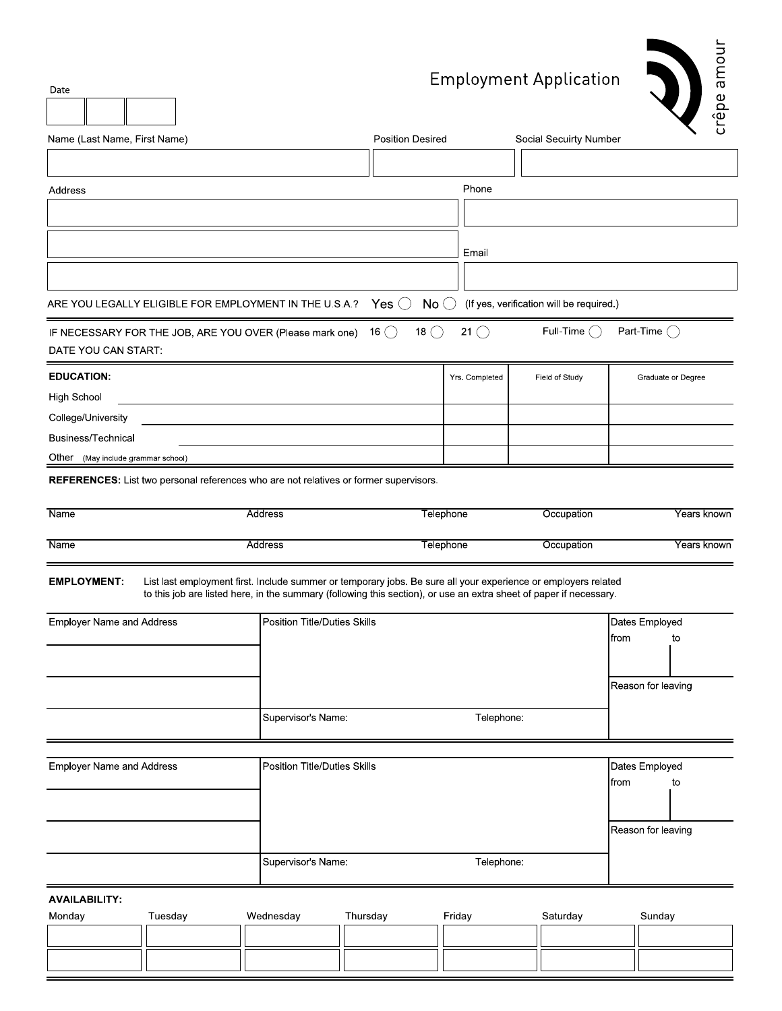## **Employment Application**



| Date                               | Linptoynicht Application<br>ത<br>crêpe |                                                                                                                                                                                                                                      |                              |                |                                          |                    |
|------------------------------------|----------------------------------------|--------------------------------------------------------------------------------------------------------------------------------------------------------------------------------------------------------------------------------------|------------------------------|----------------|------------------------------------------|--------------------|
| Name (Last Name, First Name)       |                                        |                                                                                                                                                                                                                                      | <b>Position Desired</b>      |                | Social Secuirty Number                   |                    |
|                                    |                                        |                                                                                                                                                                                                                                      |                              |                |                                          |                    |
| Address                            |                                        |                                                                                                                                                                                                                                      | Phone                        |                |                                          |                    |
|                                    |                                        |                                                                                                                                                                                                                                      |                              |                |                                          |                    |
|                                    |                                        |                                                                                                                                                                                                                                      |                              | Email          |                                          |                    |
|                                    |                                        |                                                                                                                                                                                                                                      |                              |                |                                          |                    |
|                                    |                                        | ARE YOU LEGALLY ELIGIBLE FOR EMPLOYMENT IN THE U.S.A.?                                                                                                                                                                               | Yes $\bigcirc$               | No             | (If yes, verification will be required.) |                    |
|                                    |                                        | IF NECESSARY FOR THE JOB, ARE YOU OVER (Please mark one)                                                                                                                                                                             | 18 $( )$<br>16( )            | 21()           | Full-Time $\bigcap$                      | Part-Time $(\ )$   |
| DATE YOU CAN START:                |                                        |                                                                                                                                                                                                                                      |                              |                |                                          |                    |
| <b>EDUCATION:</b>                  |                                        |                                                                                                                                                                                                                                      |                              | Yrs. Completed | Field of Study                           | Graduate or Degree |
| <b>High School</b>                 |                                        |                                                                                                                                                                                                                                      |                              |                |                                          |                    |
| College/University                 |                                        |                                                                                                                                                                                                                                      |                              |                |                                          |                    |
| <b>Business/Technical</b>          |                                        |                                                                                                                                                                                                                                      |                              |                |                                          |                    |
| Other (May include grammar school) |                                        |                                                                                                                                                                                                                                      |                              |                |                                          |                    |
|                                    |                                        | REFERENCES: List two personal references who are not relatives or former supervisors.                                                                                                                                                |                              |                |                                          |                    |
| <b>Name</b>                        |                                        | Address                                                                                                                                                                                                                              |                              | Telephone      | Occupation                               | Years known        |
| Name                               |                                        | Address                                                                                                                                                                                                                              |                              | Telephone      | Occupation                               | Years known        |
| <b>EMPLOYMENT:</b>                 |                                        | List last employment first. Include summer or temporary jobs. Be sure all your experience or employers related<br>to this job are listed here, in the summary (following this section), or use an extra sheet of paper if necessary. |                              |                |                                          |                    |
| <b>Employer Name and Address</b>   |                                        |                                                                                                                                                                                                                                      | Position Title/Duties Skills |                |                                          | Dates Employed     |
|                                    |                                        |                                                                                                                                                                                                                                      |                              |                |                                          | from<br>to         |
|                                    |                                        |                                                                                                                                                                                                                                      |                              |                |                                          |                    |
|                                    |                                        |                                                                                                                                                                                                                                      |                              |                |                                          | Reason for leaving |
|                                    |                                        | Supervisor's Name:                                                                                                                                                                                                                   |                              | Telephone:     |                                          |                    |
|                                    |                                        |                                                                                                                                                                                                                                      |                              |                |                                          |                    |
| <b>Employer Name and Address</b>   |                                        | Position Title/Duties Skills                                                                                                                                                                                                         |                              |                |                                          | Dates Employed     |
|                                    |                                        |                                                                                                                                                                                                                                      |                              |                |                                          | from<br>to         |
|                                    |                                        |                                                                                                                                                                                                                                      |                              |                |                                          |                    |
|                                    |                                        |                                                                                                                                                                                                                                      |                              |                |                                          | Reason for leaving |
|                                    |                                        | Supervisor's Name:                                                                                                                                                                                                                   |                              | Telephone:     |                                          |                    |
|                                    |                                        |                                                                                                                                                                                                                                      |                              |                |                                          |                    |
| <b>AVAILABILITY:</b>               |                                        |                                                                                                                                                                                                                                      |                              |                |                                          |                    |
| Monday                             | Tuesday                                | Wednesday                                                                                                                                                                                                                            | Thursday                     | Friday         | Saturday                                 | Sunday             |
|                                    |                                        |                                                                                                                                                                                                                                      |                              |                |                                          |                    |
|                                    |                                        |                                                                                                                                                                                                                                      |                              |                |                                          |                    |